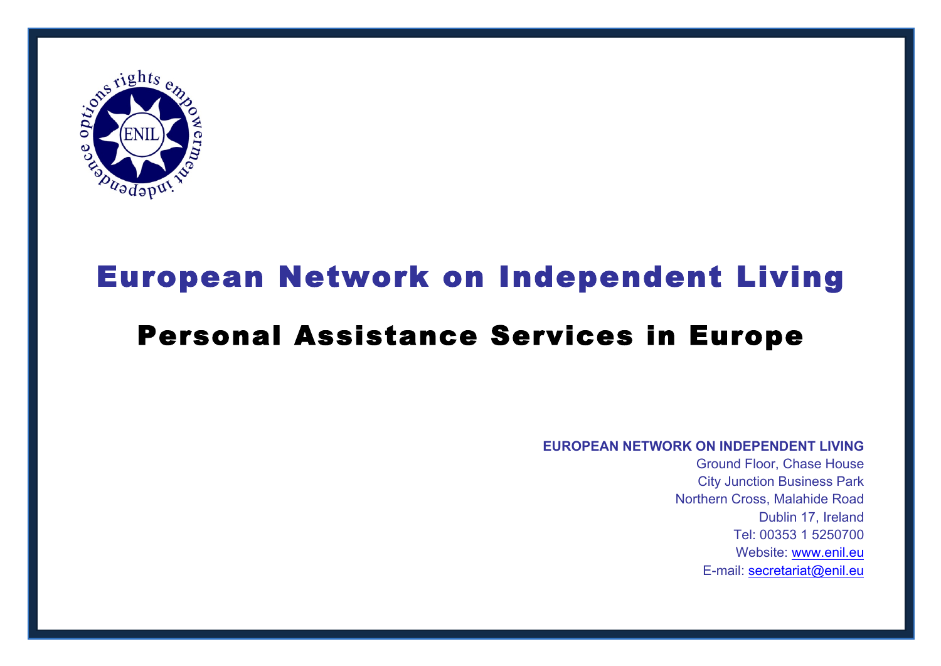

# European Network on Independent Living Personal Assistance Services in Europe

### **EUROPEAN NETWORK ON INDEPENDENT LIVING**

Ground Floor, Chase House City Junction Business Park Northern Cross, Malahide Road Dublin 17, Ireland Tel: 00353 1 5250700 Website: www.enil.eu E-mail: secretariat@enil.eu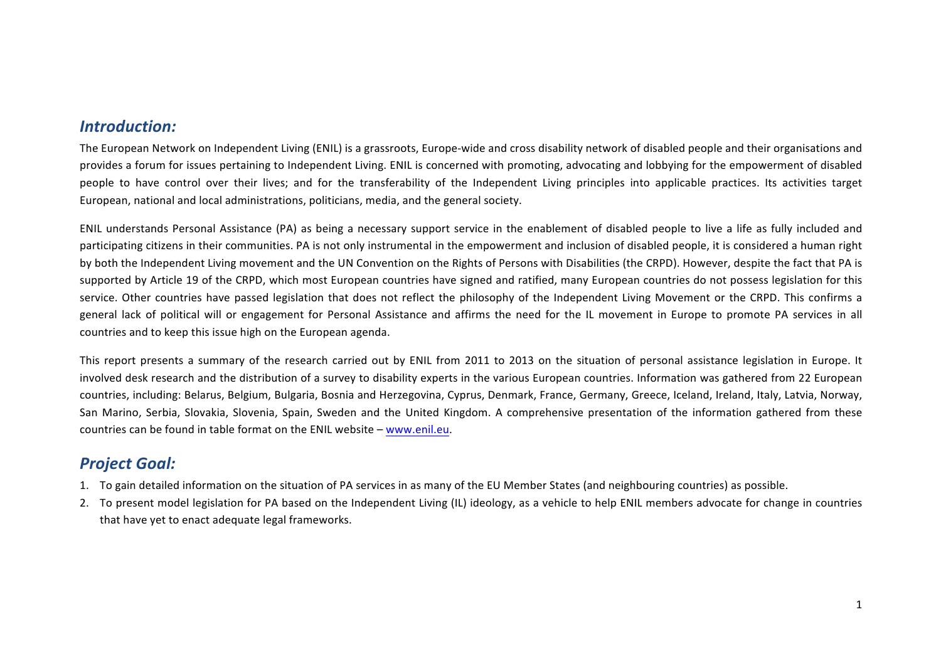# *Introduction:*

The European Network on Independent Living (ENIL) is a grassroots, Europe-wide and cross disability network of disabled people and their organisations and provides a forum for issues pertaining to Independent Living. ENIL is concerned with promoting, advocating and lobbying for the empowerment of disabled people to have control over their lives; and for the transferability of the Independent Living principles into applicable practices. Its activities target European, national and local administrations, politicians, media, and the general society.

ENIL understands Personal Assistance (PA) as being a necessary support service in the enablement of disabled people to live a life as fully included and participating citizens in their communities. PA is not only instrumental in the empowerment and inclusion of disabled people, it is considered a human right by both the Independent Living movement and the UN Convention on the Rights of Persons with Disabilities (the CRPD). However, despite the fact that PA is supported by Article 19 of the CRPD, which most European countries have signed and ratified, many European countries do not possess legislation for this service. Other countries have passed legislation that does not reflect the philosophy of the Independent Living Movement or the CRPD. This confirms a general lack of political will or engagement for Personal Assistance and affirms the need for the IL movement in Europe to promote PA services in all countries and to keep this issue high on the European agenda.

This report presents a summary of the research carried out by ENIL from 2011 to 2013 on the situation of personal assistance legislation in Europe. It involved desk research and the distribution of a survey to disability experts in the various European countries. Information was gathered from 22 European countries, including: Belarus, Belgium, Bulgaria, Bosnia and Herzegovina, Cyprus, Denmark, France, Germany, Greece, Iceland, Ireland, Italy, Latvia, Norway, San Marino, Serbia, Slovakia, Slovenia, Spain, Sweden and the United Kingdom. A comprehensive presentation of the information gathered from these countries can be found in table format on the ENIL website – www.enil.eu.

# *Project Goal:*

- 1. To gain detailed information on the situation of PA services in as many of the EU Member States (and neighbouring countries) as possible.
- 2. To present model legislation for PA based on the Independent Living (IL) ideology, as a vehicle to help ENIL members advocate for change in countries that have yet to enact adequate legal frameworks.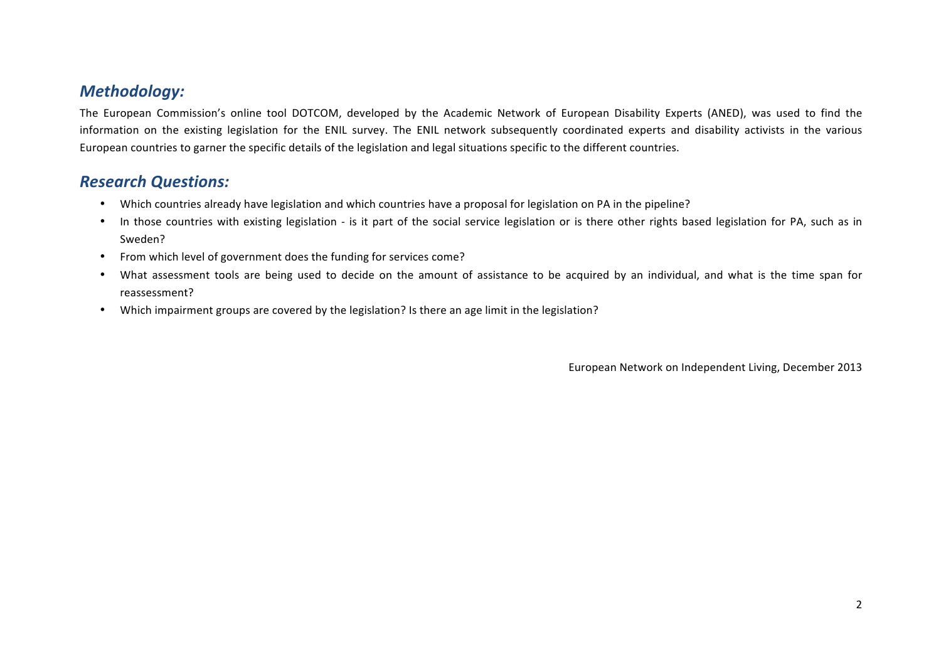# *Methodology:*

The European Commission's online tool DOTCOM, developed by the Academic Network of European Disability Experts (ANED), was used to find the information on the existing legislation for the ENIL survey. The ENIL network subsequently coordinated experts and disability activists in the various European countries to garner the specific details of the legislation and legal situations specific to the different countries.

# *Research Questions:*

- Which countries already have legislation and which countries have a proposal for legislation on PA in the pipeline?
- In those countries with existing legislation is it part of the social service legislation or is there other rights based legislation for PA, such as in Sweden?
- From which level of government does the funding for services come?
- What assessment tools are being used to decide on the amount of assistance to be acquired by an individual, and what is the time span for reassessment?
- Which impairment groups are covered by the legislation? Is there an age limit in the legislation?

European Network on Independent Living, December 2013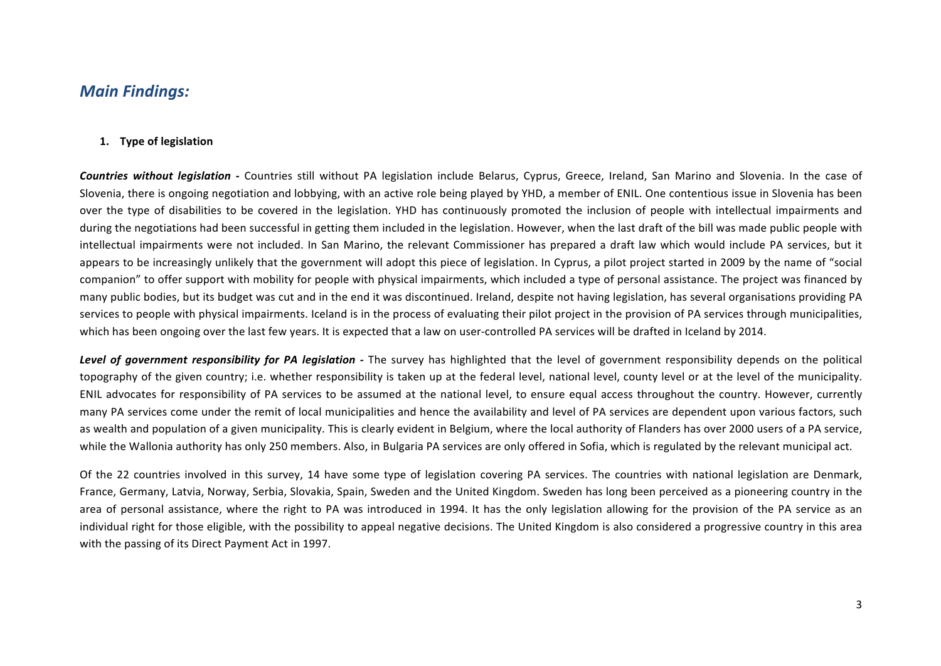# *Main Findings:*

#### **1. Type of legislation**

**Countries without legislation** - Countries still without PA legislation include Belarus, Cyprus, Greece, Ireland, San Marino and Slovenia. In the case of Slovenia, there is ongoing negotiation and lobbying, with an active role being played by YHD, a member of ENIL. One contentious issue in Slovenia has been over the type of disabilities to be covered in the legislation. YHD has continuously promoted the inclusion of people with intellectual impairments and during the negotiations had been successful in getting them included in the legislation. However, when the last draft of the bill was made public people with intellectual impairments were not included. In San Marino, the relevant Commissioner has prepared a draft law which would include PA services, but it appears to be increasingly unlikely that the government will adopt this piece of legislation. In Cyprus, a pilot project started in 2009 by the name of "social companion" to offer support with mobility for people with physical impairments, which included a type of personal assistance. The project was financed by many public bodies, but its budget was cut and in the end it was discontinued. Ireland, despite not having legislation, has several organisations providing PA services to people with physical impairments. Iceland is in the process of evaluating their pilot project in the provision of PA services through municipalities, which has been ongoing over the last few years. It is expected that a law on user-controlled PA services will be drafted in Iceland by 2014.

**Level of government responsibility for PA legislation** - The survey has highlighted that the level of government responsibility depends on the political topography of the given country; i.e. whether responsibility is taken up at the federal level, national level, county level or at the level of the municipality. ENIL advocates for responsibility of PA services to be assumed at the national level, to ensure equal access throughout the country. However, currently many PA services come under the remit of local municipalities and hence the availability and level of PA services are dependent upon various factors, such as wealth and population of a given municipality. This is clearly evident in Belgium, where the local authority of Flanders has over 2000 users of a PA service, while the Wallonia authority has only 250 members. Also, in Bulgaria PA services are only offered in Sofia, which is regulated by the relevant municipal act.

Of the 22 countries involved in this survey, 14 have some type of legislation covering PA services. The countries with national legislation are Denmark, France, Germany, Latvia, Norway, Serbia, Slovakia, Spain, Sweden and the United Kingdom. Sweden has long been perceived as a pioneering country in the area of personal assistance, where the right to PA was introduced in 1994. It has the only legislation allowing for the provision of the PA service as an individual right for those eligible, with the possibility to appeal negative decisions. The United Kingdom is also considered a progressive country in this area with the passing of its Direct Payment Act in 1997.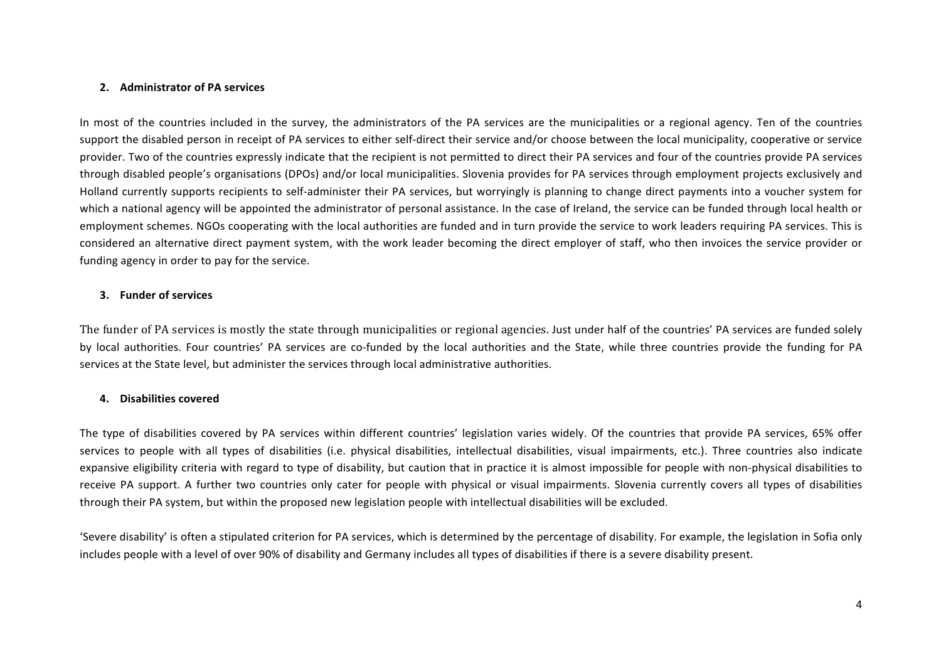#### **2. Administrator of PA services**

In most of the countries included in the survey, the administrators of the PA services are the municipalities or a regional agency. Ten of the countries support the disabled person in receipt of PA services to either self-direct their service and/or choose between the local municipality, cooperative or service provider. Two of the countries expressly indicate that the recipient is not permitted to direct their PA services and four of the countries provide PA services through disabled people's organisations (DPOs) and/or local municipalities. Slovenia provides for PA services through employment projects exclusively and Holland currently supports recipients to self-administer their PA services, but worryingly is planning to change direct payments into a voucher system for which a national agency will be appointed the administrator of personal assistance. In the case of Ireland, the service can be funded through local health or employment schemes. NGOs cooperating with the local authorities are funded and in turn provide the service to work leaders requiring PA services. This is considered an alternative direct payment system, with the work leader becoming the direct employer of staff, who then invoices the service provider or funding agency in order to pay for the service.

#### **3. Funder of services**

The funder of PA services is mostly the state through municipalities or regional agencies. Just under half of the countries' PA services are funded solely by local authorities. Four countries' PA services are co-funded by the local authorities and the State, while three countries provide the funding for PA services at the State level, but administer the services through local administrative authorities.

#### **4. Disabilities covered**

The type of disabilities covered by PA services within different countries' legislation varies widely. Of the countries that provide PA services, 65% offer services to people with all types of disabilities (i.e. physical disabilities, intellectual disabilities, visual impairments, etc.). Three countries also indicate expansive eligibility criteria with regard to type of disability, but caution that in practice it is almost impossible for people with non-physical disabilities to receive PA support. A further two countries only cater for people with physical or visual impairments. Slovenia currently covers all types of disabilities through their PA system, but within the proposed new legislation people with intellectual disabilities will be excluded.

'Severe disability' is often a stipulated criterion for PA services, which is determined by the percentage of disability. For example, the legislation in Sofia only includes people with a level of over 90% of disability and Germany includes all types of disabilities if there is a severe disability present.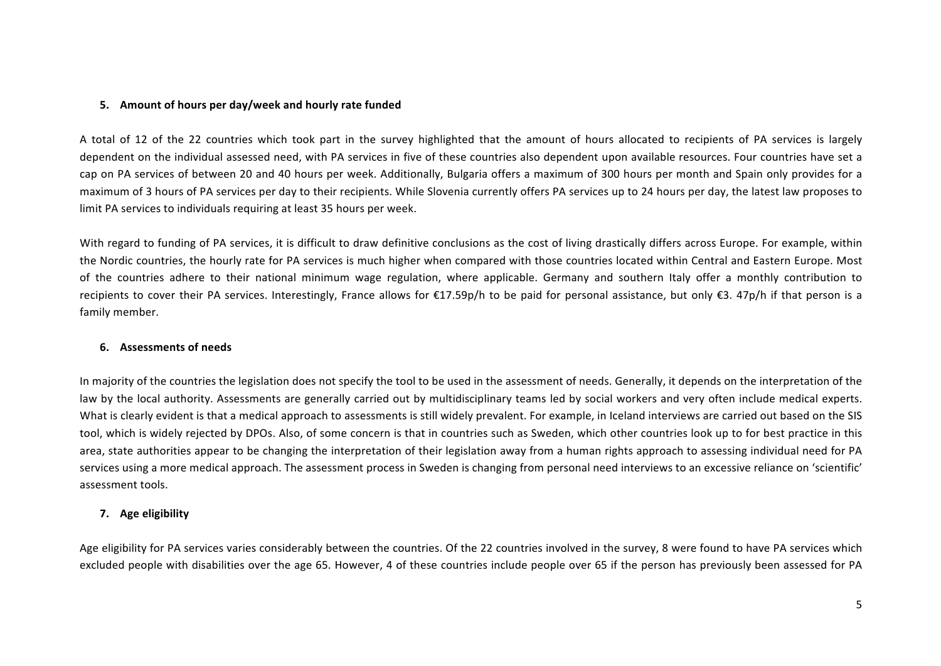#### **5.** Amount of hours per day/week and hourly rate funded

A total of 12 of the 22 countries which took part in the survey highlighted that the amount of hours allocated to recipients of PA services is largely dependent on the individual assessed need, with PA services in five of these countries also dependent upon available resources. Four countries have set a cap on PA services of between 20 and 40 hours per week. Additionally, Bulgaria offers a maximum of 300 hours per month and Spain only provides for a maximum of 3 hours of PA services per day to their recipients. While Slovenia currently offers PA services up to 24 hours per day, the latest law proposes to limit PA services to individuals requiring at least 35 hours per week.

With regard to funding of PA services, it is difficult to draw definitive conclusions as the cost of living drastically differs across Europe. For example, within the Nordic countries, the hourly rate for PA services is much higher when compared with those countries located within Central and Eastern Europe. Most of the countries adhere to their national minimum wage regulation, where applicable. Germany and southern Italy offer a monthly contribution to recipients to cover their PA services. Interestingly, France allows for  $\epsilon$ 17.59p/h to be paid for personal assistance, but only  $\epsilon$ 3. 47p/h if that person is a family member.

#### **6. Assessments of needs**

In majority of the countries the legislation does not specify the tool to be used in the assessment of needs. Generally, it depends on the interpretation of the law by the local authority. Assessments are generally carried out by multidisciplinary teams led by social workers and very often include medical experts. What is clearly evident is that a medical approach to assessments is still widely prevalent. For example, in Iceland interviews are carried out based on the SIS tool, which is widely rejected by DPOs. Also, of some concern is that in countries such as Sweden, which other countries look up to for best practice in this area, state authorities appear to be changing the interpretation of their legislation away from a human rights approach to assessing individual need for PA services using a more medical approach. The assessment process in Sweden is changing from personal need interviews to an excessive reliance on 'scientific' assessment tools.

#### **7. Age eligibility**

Age eligibility for PA services varies considerably between the countries. Of the 22 countries involved in the survey, 8 were found to have PA services which excluded people with disabilities over the age 65. However, 4 of these countries include people over 65 if the person has previously been assessed for PA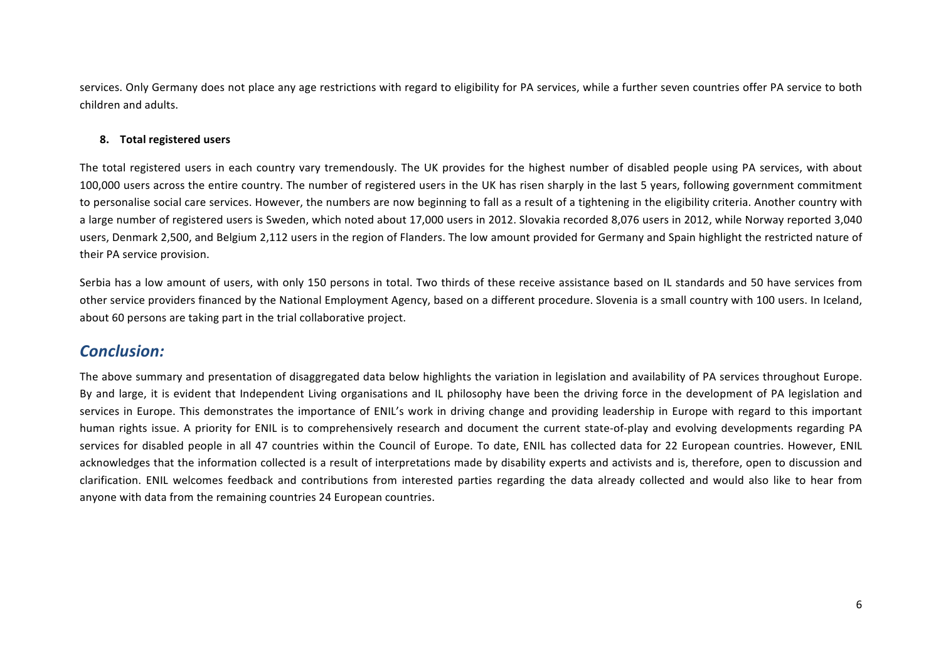services. Only Germany does not place any age restrictions with regard to eligibility for PA services, while a further seven countries offer PA service to both children and adults. 

#### **8. Total registered users**

The total registered users in each country vary tremendously. The UK provides for the highest number of disabled people using PA services, with about 100,000 users across the entire country. The number of registered users in the UK has risen sharply in the last 5 years, following government commitment to personalise social care services. However, the numbers are now beginning to fall as a result of a tightening in the eligibility criteria. Another country with a large number of registered users is Sweden, which noted about 17,000 users in 2012. Slovakia recorded 8,076 users in 2012, while Norway reported 3,040 users, Denmark 2,500, and Belgium 2,112 users in the region of Flanders. The low amount provided for Germany and Spain highlight the restricted nature of their PA service provision.

Serbia has a low amount of users, with only 150 persons in total. Two thirds of these receive assistance based on IL standards and 50 have services from other service providers financed by the National Employment Agency, based on a different procedure. Slovenia is a small country with 100 users. In Iceland, about 60 persons are taking part in the trial collaborative project.

# *Conclusion:*

The above summary and presentation of disaggregated data below highlights the variation in legislation and availability of PA services throughout Europe. By and large, it is evident that Independent Living organisations and IL philosophy have been the driving force in the development of PA legislation and services in Europe. This demonstrates the importance of ENIL's work in driving change and providing leadership in Europe with regard to this important human rights issue. A priority for ENIL is to comprehensively research and document the current state-of-play and evolving developments regarding PA services for disabled people in all 47 countries within the Council of Europe. To date, ENIL has collected data for 22 European countries. However, ENIL acknowledges that the information collected is a result of interpretations made by disability experts and activists and is, therefore, open to discussion and clarification. ENIL welcomes feedback and contributions from interested parties regarding the data already collected and would also like to hear from anyone with data from the remaining countries 24 European countries.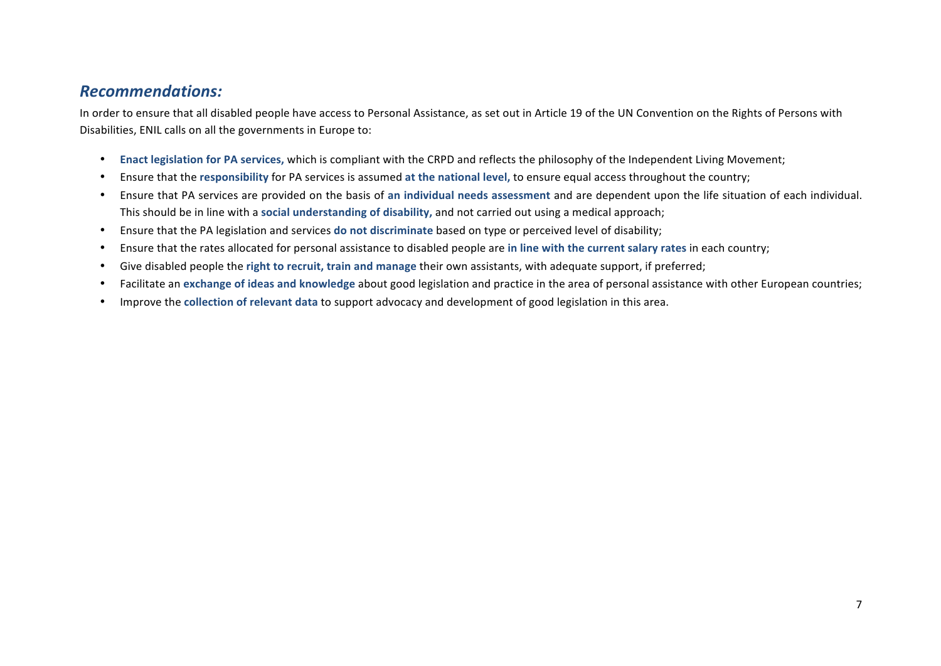# *Recommendations:*

In order to ensure that all disabled people have access to Personal Assistance, as set out in Article 19 of the UN Convention on the Rights of Persons with Disabilities, ENIL calls on all the governments in Europe to:

- Enact legislation for PA services, which is compliant with the CRPD and reflects the philosophy of the Independent Living Movement;
- Ensure that the responsibility for PA services is assumed at the national level, to ensure equal access throughout the country;
- Ensure that PA services are provided on the basis of an individual needs assessment and are dependent upon the life situation of each individual. This should be in line with a social understanding of disability, and not carried out using a medical approach;
- Ensure that the PA legislation and services do not discriminate based on type or perceived level of disability;
- Ensure that the rates allocated for personal assistance to disabled people are in line with the current salary rates in each country;
- Give disabled people the right to recruit, train and manage their own assistants, with adequate support, if preferred;
- Facilitate an exchange of ideas and knowledge about good legislation and practice in the area of personal assistance with other European countries;
- Improve the collection of relevant data to support advocacy and development of good legislation in this area.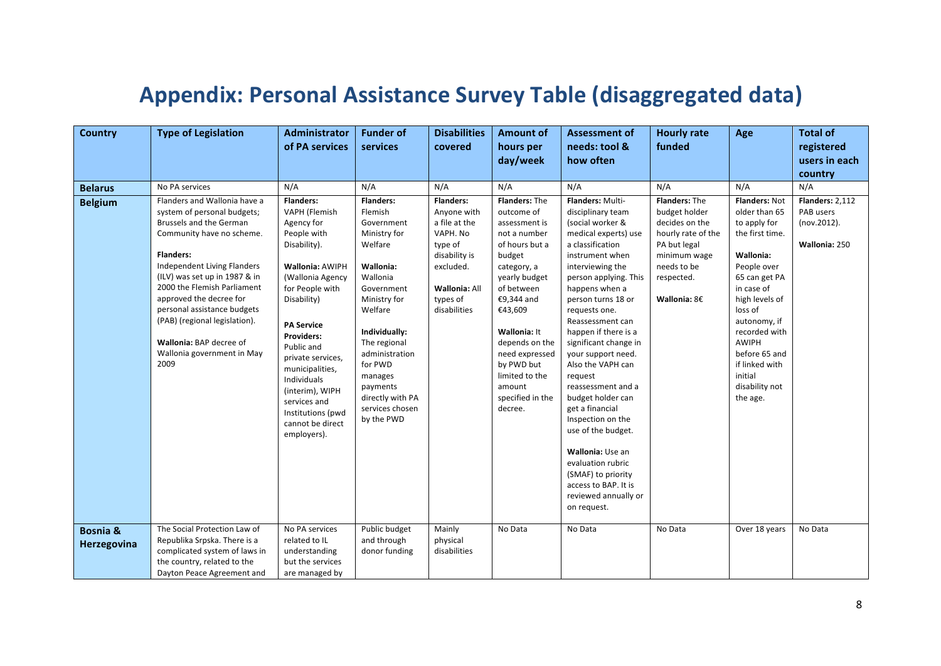# Appendix: Personal Assistance Survey Table (disaggregated data)

| <b>Country</b>                     | <b>Type of Legislation</b>                                                                                                                                                                                                                                                                                                                                                                         | Administrator                                                                                                                                                                                                                                                                                                                                                     | <b>Funder of</b>                                                                                                                                                                                                                                                                 | <b>Disabilities</b>                                                                                                                                       | <b>Amount of</b>                                                                                                                                                                                                                                                                             | <b>Assessment of</b>                                                                                                                                                                                                                                                                                                                                                                                                                                                                                                                                                                             | <b>Hourly rate</b>                                                                                                                                  | Age                                                                                                                                                                                                                                                                             | <b>Total of</b>                                              |
|------------------------------------|----------------------------------------------------------------------------------------------------------------------------------------------------------------------------------------------------------------------------------------------------------------------------------------------------------------------------------------------------------------------------------------------------|-------------------------------------------------------------------------------------------------------------------------------------------------------------------------------------------------------------------------------------------------------------------------------------------------------------------------------------------------------------------|----------------------------------------------------------------------------------------------------------------------------------------------------------------------------------------------------------------------------------------------------------------------------------|-----------------------------------------------------------------------------------------------------------------------------------------------------------|----------------------------------------------------------------------------------------------------------------------------------------------------------------------------------------------------------------------------------------------------------------------------------------------|--------------------------------------------------------------------------------------------------------------------------------------------------------------------------------------------------------------------------------------------------------------------------------------------------------------------------------------------------------------------------------------------------------------------------------------------------------------------------------------------------------------------------------------------------------------------------------------------------|-----------------------------------------------------------------------------------------------------------------------------------------------------|---------------------------------------------------------------------------------------------------------------------------------------------------------------------------------------------------------------------------------------------------------------------------------|--------------------------------------------------------------|
|                                    |                                                                                                                                                                                                                                                                                                                                                                                                    | of PA services                                                                                                                                                                                                                                                                                                                                                    | services                                                                                                                                                                                                                                                                         | covered                                                                                                                                                   | hours per                                                                                                                                                                                                                                                                                    | needs: tool &<br>how often                                                                                                                                                                                                                                                                                                                                                                                                                                                                                                                                                                       | funded                                                                                                                                              |                                                                                                                                                                                                                                                                                 | registered<br>users in each                                  |
|                                    |                                                                                                                                                                                                                                                                                                                                                                                                    |                                                                                                                                                                                                                                                                                                                                                                   |                                                                                                                                                                                                                                                                                  |                                                                                                                                                           | day/week                                                                                                                                                                                                                                                                                     |                                                                                                                                                                                                                                                                                                                                                                                                                                                                                                                                                                                                  |                                                                                                                                                     |                                                                                                                                                                                                                                                                                 | country                                                      |
| <b>Belarus</b>                     | No PA services                                                                                                                                                                                                                                                                                                                                                                                     | N/A                                                                                                                                                                                                                                                                                                                                                               | N/A                                                                                                                                                                                                                                                                              | N/A                                                                                                                                                       | N/A                                                                                                                                                                                                                                                                                          | N/A                                                                                                                                                                                                                                                                                                                                                                                                                                                                                                                                                                                              | N/A                                                                                                                                                 | N/A                                                                                                                                                                                                                                                                             | N/A                                                          |
| <b>Belgium</b>                     | Flanders and Wallonia have a<br>system of personal budgets;<br>Brussels and the German<br>Community have no scheme.<br><b>Flanders:</b><br>Independent Living Flanders<br>(ILV) was set up in 1987 & in<br>2000 the Flemish Parliament<br>approved the decree for<br>personal assistance budgets<br>(PAB) (regional legislation).<br>Wallonia: BAP decree of<br>Wallonia government in May<br>2009 | <b>Flanders:</b><br>VAPH (Flemish<br>Agency for<br>People with<br>Disability).<br><b>Wallonia: AWIPH</b><br>(Wallonia Agency<br>for People with<br>Disability)<br><b>PA Service</b><br>Providers:<br>Public and<br>private services,<br>municipalities,<br>Individuals<br>(interim), WIPH<br>services and<br>Institutions (pwd<br>cannot be direct<br>employers). | <b>Flanders:</b><br>Flemish<br>Government<br>Ministry for<br>Welfare<br>Wallonia:<br>Wallonia<br>Government<br>Ministry for<br>Welfare<br>Individually:<br>The regional<br>administration<br>for PWD<br>manages<br>payments<br>directly with PA<br>services chosen<br>by the PWD | <b>Flanders:</b><br>Anyone with<br>a file at the<br>VAPH. No<br>type of<br>disability is<br>excluded.<br><b>Wallonia: All</b><br>types of<br>disabilities | Flanders: The<br>outcome of<br>assessment is<br>not a number<br>of hours but a<br>budget<br>category, a<br>yearly budget<br>of between<br>€9,344 and<br>€43,609<br>Wallonia: It<br>depends on the<br>need expressed<br>by PWD but<br>limited to the<br>amount<br>specified in the<br>decree. | Flanders: Multi-<br>disciplinary team<br>(social worker &<br>medical experts) use<br>a classification<br>instrument when<br>interviewing the<br>person applying. This<br>happens when a<br>person turns 18 or<br>requests one.<br>Reassessment can<br>happen if there is a<br>significant change in<br>your support need.<br>Also the VAPH can<br>request<br>reassessment and a<br>budget holder can<br>get a financial<br>Inspection on the<br>use of the budget.<br>Wallonia: Use an<br>evaluation rubric<br>(SMAF) to priority<br>access to BAP. It is<br>reviewed annually or<br>on request. | Flanders: The<br>budget holder<br>decides on the<br>hourly rate of the<br>PA but legal<br>minimum wage<br>needs to be<br>respected.<br>Wallonia: 8€ | Flanders: Not<br>older than 65<br>to apply for<br>the first time.<br>Wallonia:<br>People over<br>65 can get PA<br>in case of<br>high levels of<br>loss of<br>autonomy, if<br>recorded with<br>AWIPH<br>before 65 and<br>if linked with<br>initial<br>disability not<br>the age. | Flanders: 2,112<br>PAB users<br>(nov.2012).<br>Wallonia: 250 |
| <b>Bosnia &amp;</b><br>Herzegovina | The Social Protection Law of<br>Republika Srpska. There is a<br>complicated system of laws in<br>the country, related to the<br>Dayton Peace Agreement and                                                                                                                                                                                                                                         | No PA services<br>related to IL<br>understanding<br>but the services<br>are managed by                                                                                                                                                                                                                                                                            | Public budget<br>and through<br>donor funding                                                                                                                                                                                                                                    | Mainly<br>physical<br>disabilities                                                                                                                        | No Data                                                                                                                                                                                                                                                                                      | No Data                                                                                                                                                                                                                                                                                                                                                                                                                                                                                                                                                                                          | No Data                                                                                                                                             | Over 18 years                                                                                                                                                                                                                                                                   | No Data                                                      |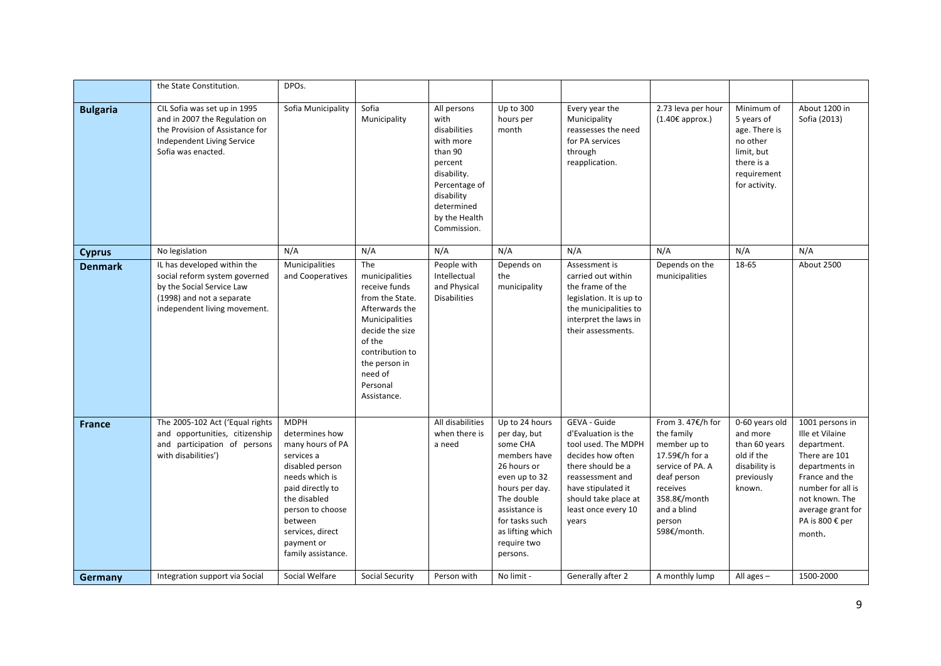|                 | the State Constitution.                                                                                                                                | DPOs.                                                                                                                                                                                                                           |                                                                                                                                                                                                             |                                                                                                                                                                    |                                                                                                                                                                                                              |                                                                                                                                                                                                        |                                                                                                                                                                         |                                                                                                                   |                                                                                                                                                                                                 |
|-----------------|--------------------------------------------------------------------------------------------------------------------------------------------------------|---------------------------------------------------------------------------------------------------------------------------------------------------------------------------------------------------------------------------------|-------------------------------------------------------------------------------------------------------------------------------------------------------------------------------------------------------------|--------------------------------------------------------------------------------------------------------------------------------------------------------------------|--------------------------------------------------------------------------------------------------------------------------------------------------------------------------------------------------------------|--------------------------------------------------------------------------------------------------------------------------------------------------------------------------------------------------------|-------------------------------------------------------------------------------------------------------------------------------------------------------------------------|-------------------------------------------------------------------------------------------------------------------|-------------------------------------------------------------------------------------------------------------------------------------------------------------------------------------------------|
| <b>Bulgaria</b> | CIL Sofia was set up in 1995<br>and in 2007 the Regulation on<br>the Provision of Assistance for<br>Independent Living Service<br>Sofia was enacted.   | Sofia Municipality                                                                                                                                                                                                              | Sofia<br>Municipality                                                                                                                                                                                       | All persons<br>with<br>disabilities<br>with more<br>than 90<br>percent<br>disability.<br>Percentage of<br>disability<br>determined<br>by the Health<br>Commission. | Up to 300<br>hours per<br>month                                                                                                                                                                              | Every year the<br>Municipality<br>reassesses the need<br>for PA services<br>through<br>reapplication.                                                                                                  | 2.73 leva per hour<br>$(1.40\epsilon$ approx.)                                                                                                                          | Minimum of<br>5 years of<br>age. There is<br>no other<br>limit, but<br>there is a<br>requirement<br>for activity. | About 1200 in<br>Sofia (2013)                                                                                                                                                                   |
| <b>Cyprus</b>   | No legislation                                                                                                                                         | N/A                                                                                                                                                                                                                             | N/A                                                                                                                                                                                                         | N/A                                                                                                                                                                | N/A                                                                                                                                                                                                          | N/A                                                                                                                                                                                                    | N/A                                                                                                                                                                     | N/A                                                                                                               | N/A                                                                                                                                                                                             |
| <b>Denmark</b>  | IL has developed within the<br>social reform system governed<br>by the Social Service Law<br>(1998) and not a separate<br>independent living movement. | Municipalities<br>and Cooperatives                                                                                                                                                                                              | The<br>municipalities<br>receive funds<br>from the State.<br>Afterwards the<br><b>Municipalities</b><br>decide the size<br>of the<br>contribution to<br>the person in<br>need of<br>Personal<br>Assistance. | People with<br>Intellectual<br>and Physical<br><b>Disabilities</b>                                                                                                 | Depends on<br>the<br>municipality                                                                                                                                                                            | Assessment is<br>carried out within<br>the frame of the<br>legislation. It is up to<br>the municipalities to<br>interpret the laws in<br>their assessments.                                            | Depends on the<br>municipalities                                                                                                                                        | 18-65                                                                                                             | About 2500                                                                                                                                                                                      |
| <b>France</b>   | The 2005-102 Act ('Equal rights<br>and opportunities, citizenship<br>and participation of persons<br>with disabilities')                               | <b>MDPH</b><br>determines how<br>many hours of PA<br>services a<br>disabled person<br>needs which is<br>paid directly to<br>the disabled<br>person to choose<br>between<br>services, direct<br>payment or<br>family assistance. |                                                                                                                                                                                                             | All disabilities<br>when there is<br>a need                                                                                                                        | Up to 24 hours<br>per day, but<br>some CHA<br>members have<br>26 hours or<br>even up to 32<br>hours per day.<br>The double<br>assistance is<br>for tasks such<br>as lifting which<br>require two<br>persons. | GEVA - Guide<br>d'Evaluation is the<br>tool used. The MDPH<br>decides how often<br>there should be a<br>reassessment and<br>have stipulated it<br>should take place at<br>least once every 10<br>vears | From 3.47€/h for<br>the family<br>member up to<br>17.59€/h for a<br>service of PA. A<br>deaf person<br>receives<br>358.8€/month<br>and a blind<br>person<br>598€/month. | 0-60 years old<br>and more<br>than 60 years<br>old if the<br>disability is<br>previously<br>known.                | 1001 persons in<br>Ille et Vilaine<br>department.<br>There are 101<br>departments in<br>France and the<br>number for all is<br>not known. The<br>average grant for<br>PA is 800 € per<br>month. |
| Germany         | Integration support via Social                                                                                                                         | Social Welfare                                                                                                                                                                                                                  | Social Security                                                                                                                                                                                             | Person with                                                                                                                                                        | No limit -                                                                                                                                                                                                   | Generally after 2                                                                                                                                                                                      | A monthly lump                                                                                                                                                          | All ages $-$                                                                                                      | 1500-2000                                                                                                                                                                                       |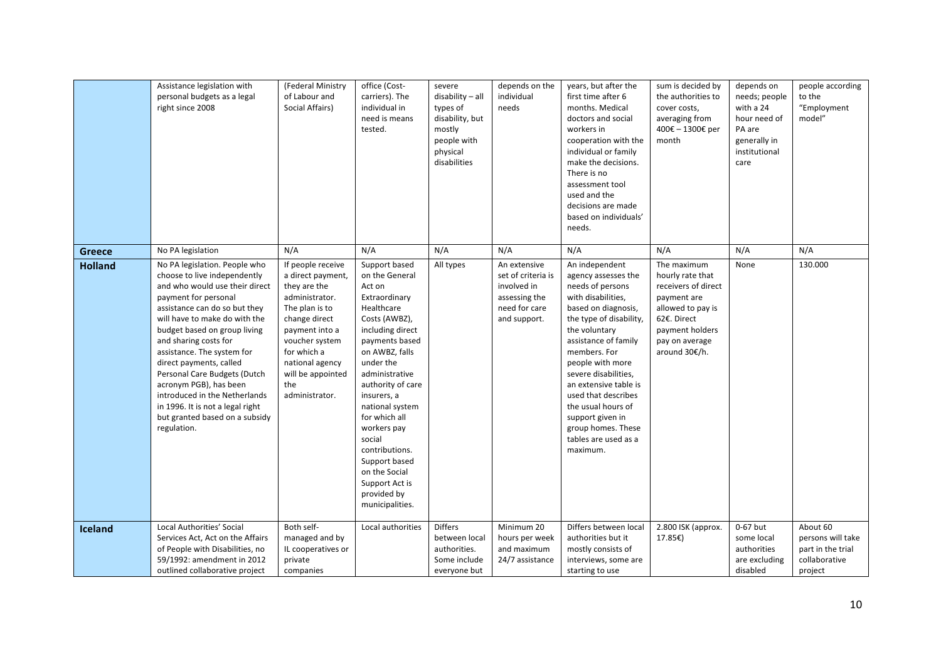|                | Assistance legislation with<br>personal budgets as a legal<br>right since 2008                                                                                                                                                                                                                                                                                                                                                                                                              | (Federal Ministry<br>of Labour and<br>Social Affairs)                                                                                                                                                                           | office (Cost-<br>carriers). The<br>individual in<br>need is means<br>tested.                                                                                                                                                                                                                                                                                                              | severe<br>disability - all<br>types of<br>disability, but<br>mostly<br>people with<br>physical<br>disabilities | depends on the<br>individual<br>needs                                                               | years, but after the<br>first time after 6<br>months. Medical<br>doctors and social<br>workers in<br>cooperation with the<br>individual or family<br>make the decisions.<br>There is no<br>assessment tool<br>used and the<br>decisions are made<br>based on individuals'<br>needs.                                                                                                        | sum is decided by<br>the authorities to<br>cover costs,<br>averaging from<br>400€ - 1300€ per<br>month                                                          | depends on<br>needs; people<br>with a 24<br>hour need of<br>PA are<br>generally in<br>institutional<br>care | people according<br>to the<br>"Employment<br>model"                            |
|----------------|---------------------------------------------------------------------------------------------------------------------------------------------------------------------------------------------------------------------------------------------------------------------------------------------------------------------------------------------------------------------------------------------------------------------------------------------------------------------------------------------|---------------------------------------------------------------------------------------------------------------------------------------------------------------------------------------------------------------------------------|-------------------------------------------------------------------------------------------------------------------------------------------------------------------------------------------------------------------------------------------------------------------------------------------------------------------------------------------------------------------------------------------|----------------------------------------------------------------------------------------------------------------|-----------------------------------------------------------------------------------------------------|--------------------------------------------------------------------------------------------------------------------------------------------------------------------------------------------------------------------------------------------------------------------------------------------------------------------------------------------------------------------------------------------|-----------------------------------------------------------------------------------------------------------------------------------------------------------------|-------------------------------------------------------------------------------------------------------------|--------------------------------------------------------------------------------|
| <b>Greece</b>  | No PA legislation                                                                                                                                                                                                                                                                                                                                                                                                                                                                           | N/A                                                                                                                                                                                                                             | N/A                                                                                                                                                                                                                                                                                                                                                                                       | N/A                                                                                                            | N/A                                                                                                 | N/A                                                                                                                                                                                                                                                                                                                                                                                        | N/A                                                                                                                                                             | N/A                                                                                                         | N/A                                                                            |
| <b>Holland</b> | No PA legislation. People who<br>choose to live independently<br>and who would use their direct<br>payment for personal<br>assistance can do so but they<br>will have to make do with the<br>budget based on group living<br>and sharing costs for<br>assistance. The system for<br>direct payments, called<br>Personal Care Budgets (Dutch<br>acronym PGB), has been<br>introduced in the Netherlands<br>in 1996. It is not a legal right<br>but granted based on a subsidy<br>regulation. | If people receive<br>a direct payment,<br>they are the<br>administrator.<br>The plan is to<br>change direct<br>payment into a<br>voucher system<br>for which a<br>national agency<br>will be appointed<br>the<br>administrator. | Support based<br>on the General<br>Act on<br>Extraordinary<br>Healthcare<br>Costs (AWBZ),<br>including direct<br>payments based<br>on AWBZ, falls<br>under the<br>administrative<br>authority of care<br>insurers, a<br>national system<br>for which all<br>workers pay<br>social<br>contributions.<br>Support based<br>on the Social<br>Support Act is<br>provided by<br>municipalities. | All types                                                                                                      | An extensive<br>set of criteria is<br>involved in<br>assessing the<br>need for care<br>and support. | An independent<br>agency assesses the<br>needs of persons<br>with disabilities,<br>based on diagnosis,<br>the type of disability,<br>the voluntary<br>assistance of family<br>members. For<br>people with more<br>severe disabilities,<br>an extensive table is<br>used that describes<br>the usual hours of<br>support given in<br>group homes. These<br>tables are used as a<br>maximum. | The maximum<br>hourly rate that<br>receivers of direct<br>payment are<br>allowed to pay is<br>62€. Direct<br>payment holders<br>pay on average<br>around 30€/h. | None                                                                                                        | 130.000                                                                        |
| Iceland        | Local Authorities' Social<br>Services Act, Act on the Affairs<br>of People with Disabilities, no<br>59/1992: amendment in 2012<br>outlined collaborative project                                                                                                                                                                                                                                                                                                                            | Both self-<br>managed and by<br>IL cooperatives or<br>private<br>companies                                                                                                                                                      | Local authorities                                                                                                                                                                                                                                                                                                                                                                         | <b>Differs</b><br>between local<br>authorities.<br>Some include<br>everyone but                                | Minimum 20<br>hours per week<br>and maximum<br>24/7 assistance                                      | Differs between local<br>authorities but it<br>mostly consists of<br>interviews, some are<br>starting to use                                                                                                                                                                                                                                                                               | 2.800 ISK (approx.<br>17.85€)                                                                                                                                   | 0-67 but<br>some local<br>authorities<br>are excluding<br>disabled                                          | About 60<br>persons will take<br>part in the trial<br>collaborative<br>project |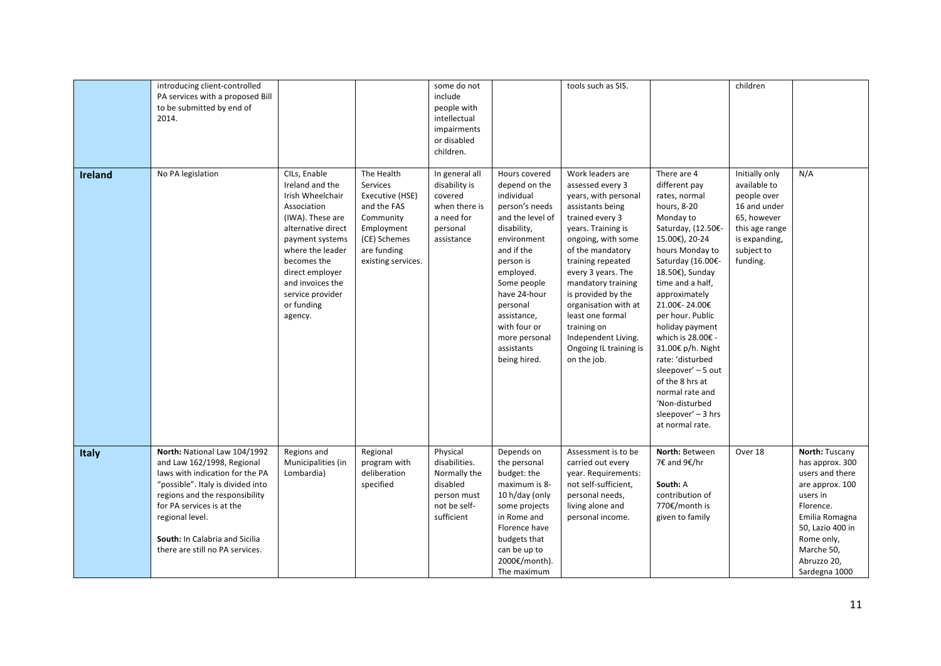|                | introducing client-controlled<br>PA services with a proposed Bill<br>to be submitted by end of<br>2014.                                                                                                                                                                                   |                                                                                                                                                                                                                                                        |                                                                                                                                          | some do not<br>include<br>people with<br>intellectual<br>impairments<br>or disabled<br>children.    |                                                                                                                                                                                                                                                                                   | tools such as SIS.                                                                                                                                                                                                                                                                                                                                                                    |                                                                                                                                                                                                                                                                                                                                                                                                                                                                | children                                                                                                                                  |                                                                                                                                                                                                    |
|----------------|-------------------------------------------------------------------------------------------------------------------------------------------------------------------------------------------------------------------------------------------------------------------------------------------|--------------------------------------------------------------------------------------------------------------------------------------------------------------------------------------------------------------------------------------------------------|------------------------------------------------------------------------------------------------------------------------------------------|-----------------------------------------------------------------------------------------------------|-----------------------------------------------------------------------------------------------------------------------------------------------------------------------------------------------------------------------------------------------------------------------------------|---------------------------------------------------------------------------------------------------------------------------------------------------------------------------------------------------------------------------------------------------------------------------------------------------------------------------------------------------------------------------------------|----------------------------------------------------------------------------------------------------------------------------------------------------------------------------------------------------------------------------------------------------------------------------------------------------------------------------------------------------------------------------------------------------------------------------------------------------------------|-------------------------------------------------------------------------------------------------------------------------------------------|----------------------------------------------------------------------------------------------------------------------------------------------------------------------------------------------------|
| <b>Ireland</b> | No PA legislation                                                                                                                                                                                                                                                                         | CILs, Enable<br>Ireland and the<br>Irish Wheelchair<br>Association<br>(IWA). These are<br>alternative direct<br>payment systems<br>where the leader<br>becomes the<br>direct employer<br>and invoices the<br>service provider<br>or funding<br>agency. | The Health<br>Services<br>Executive (HSE)<br>and the FAS<br>Community<br>Employment<br>(CE) Schemes<br>are funding<br>existing services. | In general all<br>disability is<br>covered<br>when there is<br>a need for<br>personal<br>assistance | Hours covered<br>depend on the<br>individual<br>person's needs<br>and the level of<br>disability,<br>environment<br>and if the<br>person is<br>employed.<br>Some people<br>have 24-hour<br>personal<br>assistance,<br>with four or<br>more personal<br>assistants<br>being hired. | Work leaders are<br>assessed every 3<br>years, with personal<br>assistants being<br>trained every 3<br>years. Training is<br>ongoing, with some<br>of the mandatory<br>training repeated<br>every 3 years. The<br>mandatory training<br>is provided by the<br>organisation with at<br>least one formal<br>training on<br>Independent Living.<br>Ongoing IL training is<br>on the job. | There are 4<br>different pay<br>rates, normal<br>hours, 8-20<br>Monday to<br>Saturday, (12.50€-<br>15.00€), 20-24<br>hours Monday to<br>Saturday (16.00€-<br>18.50€), Sunday<br>time and a half,<br>approximately<br>21.00€-24.00€<br>per hour. Public<br>holiday payment<br>which is 28.00€ -<br>31.00€ p/h. Night<br>rate: 'disturbed<br>sleepover' - 5 out<br>of the 8 hrs at<br>normal rate and<br>'Non-disturbed<br>sleepover' - 3 hrs<br>at normal rate. | Initially only<br>available to<br>people over<br>16 and under<br>65, however<br>this age range<br>is expanding,<br>subject to<br>funding. | N/A                                                                                                                                                                                                |
| <b>Italy</b>   | North: National Law 104/1992<br>and Law 162/1998, Regional<br>laws with indication for the PA<br>"possible". Italy is divided into<br>regions and the responsibility<br>for PA services is at the<br>regional level.<br>South: In Calabria and Sicilia<br>there are still no PA services. | Regions and<br>Municipalities (in<br>Lombardia)                                                                                                                                                                                                        | Regional<br>program with<br>deliberation<br>specified                                                                                    | Physical<br>disabilities.<br>Normally the<br>disabled<br>person must<br>not be self-<br>sufficient  | Depends on<br>the personal<br>budget: the<br>maximum is 8-<br>10 h/day (only<br>some projects<br>in Rome and<br>Florence have<br>budgets that<br>can be up to<br>2000€/month).<br>The maximum                                                                                     | Assessment is to be<br>carried out every<br>year. Requirements:<br>not self-sufficient,<br>personal needs,<br>living alone and<br>personal income.                                                                                                                                                                                                                                    | North: Between<br>7€ and 9€/hr<br>South: A<br>contribution of<br>770€/month is<br>given to family                                                                                                                                                                                                                                                                                                                                                              | Over 18                                                                                                                                   | North: Tuscany<br>has approx. 300<br>users and there<br>are approx. 100<br>users in<br>Florence.<br>Emilia Romagna<br>50, Lazio 400 in<br>Rome only,<br>Marche 50,<br>Abruzzo 20,<br>Sardegna 1000 |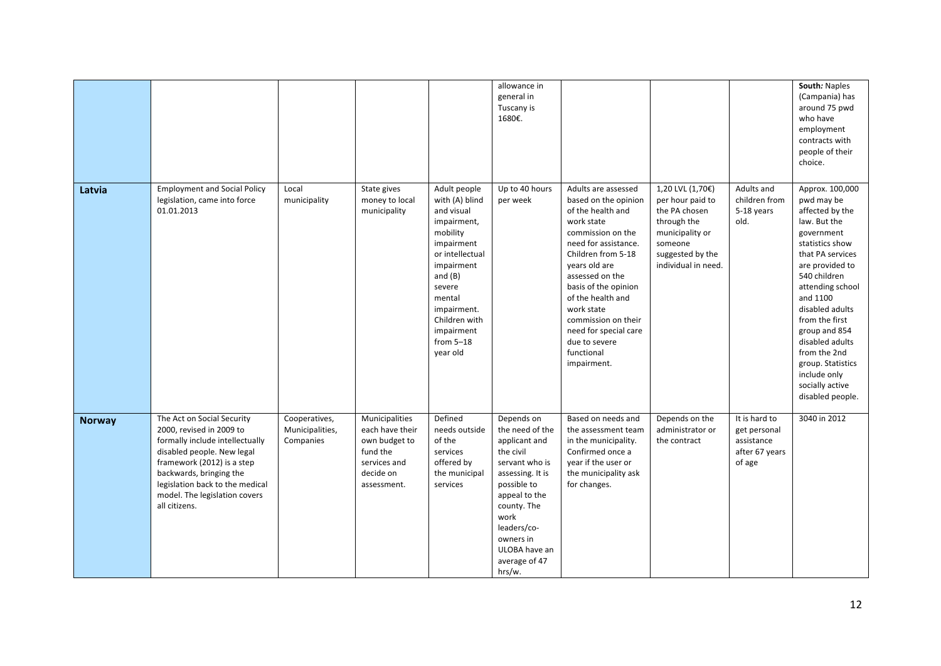|               |                                                                                                                                                                                                                                                                       |                                               |                                                                                                            |                                                                                                                                                                                                                                  | allowance in<br>general in<br>Tuscany is<br>1680€.                                                                                                                                                                               |                                                                                                                                                                                                                                                                                                                                                |                                                                                                                                               |                                                                         | South: Naples<br>(Campania) has<br>around 75 pwd<br>who have<br>employment<br>contracts with<br>people of their<br>choice.                                                                                                                                                                                                                                    |
|---------------|-----------------------------------------------------------------------------------------------------------------------------------------------------------------------------------------------------------------------------------------------------------------------|-----------------------------------------------|------------------------------------------------------------------------------------------------------------|----------------------------------------------------------------------------------------------------------------------------------------------------------------------------------------------------------------------------------|----------------------------------------------------------------------------------------------------------------------------------------------------------------------------------------------------------------------------------|------------------------------------------------------------------------------------------------------------------------------------------------------------------------------------------------------------------------------------------------------------------------------------------------------------------------------------------------|-----------------------------------------------------------------------------------------------------------------------------------------------|-------------------------------------------------------------------------|---------------------------------------------------------------------------------------------------------------------------------------------------------------------------------------------------------------------------------------------------------------------------------------------------------------------------------------------------------------|
| Latvia        | <b>Employment and Social Policy</b><br>legislation, came into force<br>01.01.2013                                                                                                                                                                                     | Local<br>municipality                         | State gives<br>money to local<br>municipality                                                              | Adult people<br>with (A) blind<br>and visual<br>impairment,<br>mobility<br>impairment<br>or intellectual<br>impairment<br>and $(B)$<br>severe<br>mental<br>impairment.<br>Children with<br>impairment<br>from $5-18$<br>year old | Up to 40 hours<br>per week                                                                                                                                                                                                       | Adults are assessed<br>based on the opinion<br>of the health and<br>work state<br>commission on the<br>need for assistance.<br>Children from 5-18<br>years old are<br>assessed on the<br>basis of the opinion<br>of the health and<br>work state<br>commission on their<br>need for special care<br>due to severe<br>functional<br>impairment. | 1,20 LVL (1,70€)<br>per hour paid to<br>the PA chosen<br>through the<br>municipality or<br>someone<br>suggested by the<br>individual in need. | Adults and<br>children from<br>5-18 years<br>old.                       | Approx. 100,000<br>pwd may be<br>affected by the<br>law. But the<br>government<br>statistics show<br>that PA services<br>are provided to<br>540 children<br>attending school<br>and 1100<br>disabled adults<br>from the first<br>group and 854<br>disabled adults<br>from the 2nd<br>group. Statistics<br>include only<br>socially active<br>disabled people. |
| <b>Norway</b> | The Act on Social Security<br>2000, revised in 2009 to<br>formally include intellectually<br>disabled people. New legal<br>framework (2012) is a step<br>backwards, bringing the<br>legislation back to the medical<br>model. The legislation covers<br>all citizens. | Cooperatives,<br>Municipalities,<br>Companies | Municipalities<br>each have their<br>own budget to<br>fund the<br>services and<br>decide on<br>assessment. | Defined<br>needs outside<br>of the<br>services<br>offered by<br>the municipal<br>services                                                                                                                                        | Depends on<br>the need of the<br>applicant and<br>the civil<br>servant who is<br>assessing. It is<br>possible to<br>appeal to the<br>county. The<br>work<br>leaders/co-<br>owners in<br>ULOBA have an<br>average of 47<br>hrs/w. | Based on needs and<br>the assessment team<br>in the municipality.<br>Confirmed once a<br>year if the user or<br>the municipality ask<br>for changes.                                                                                                                                                                                           | Depends on the<br>administrator or<br>the contract                                                                                            | It is hard to<br>get personal<br>assistance<br>after 67 years<br>of age | 3040 in 2012                                                                                                                                                                                                                                                                                                                                                  |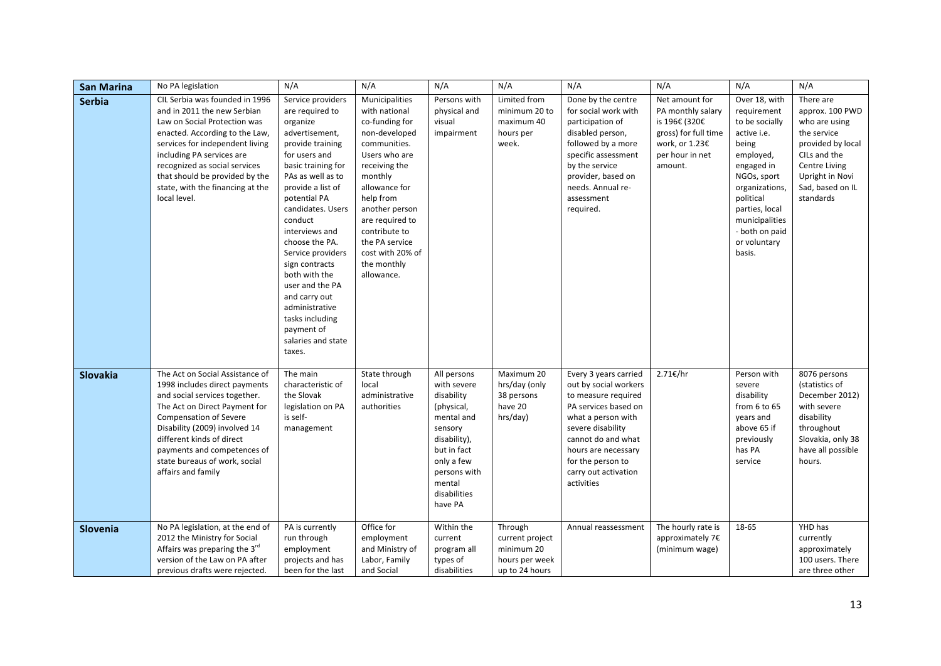| <b>San Marina</b> | No PA legislation                                                                                                                                                                                                                                                                                                       | N/A                                                                                                                                                                                                                                                                                                                                                                                                                                        | N/A                                                                                                                                                                                                                                                                                    | N/A                                                                                                                                                                               | N/A                                                                          | N/A                                                                                                                                                                                                                                              | N/A                                                                                                                          | N/A                                                                                                                                                                                                                             | N/A                                                                                                                                                                    |
|-------------------|-------------------------------------------------------------------------------------------------------------------------------------------------------------------------------------------------------------------------------------------------------------------------------------------------------------------------|--------------------------------------------------------------------------------------------------------------------------------------------------------------------------------------------------------------------------------------------------------------------------------------------------------------------------------------------------------------------------------------------------------------------------------------------|----------------------------------------------------------------------------------------------------------------------------------------------------------------------------------------------------------------------------------------------------------------------------------------|-----------------------------------------------------------------------------------------------------------------------------------------------------------------------------------|------------------------------------------------------------------------------|--------------------------------------------------------------------------------------------------------------------------------------------------------------------------------------------------------------------------------------------------|------------------------------------------------------------------------------------------------------------------------------|---------------------------------------------------------------------------------------------------------------------------------------------------------------------------------------------------------------------------------|------------------------------------------------------------------------------------------------------------------------------------------------------------------------|
| <b>Serbia</b>     | CIL Serbia was founded in 1996<br>and in 2011 the new Serbian<br>Law on Social Protection was<br>enacted. According to the Law,<br>services for independent living<br>including PA services are<br>recognized as social services<br>that should be provided by the<br>state, with the financing at the<br>local level.  | Service providers<br>are required to<br>organize<br>advertisement,<br>provide training<br>for users and<br>basic training for<br>PAs as well as to<br>provide a list of<br>potential PA<br>candidates. Users<br>conduct<br>interviews and<br>choose the PA.<br>Service providers<br>sign contracts<br>both with the<br>user and the PA<br>and carry out<br>administrative<br>tasks including<br>payment of<br>salaries and state<br>taxes. | Municipalities<br>with national<br>co-funding for<br>non-developed<br>communities.<br>Users who are<br>receiving the<br>monthly<br>allowance for<br>help from<br>another person<br>are required to<br>contribute to<br>the PA service<br>cost with 20% of<br>the monthly<br>allowance. | Persons with<br>physical and<br>visual<br>impairment                                                                                                                              | Limited from<br>minimum 20 to<br>maximum 40<br>hours per<br>week.            | Done by the centre<br>for social work with<br>participation of<br>disabled person,<br>followed by a more<br>specific assessment<br>by the service<br>provider, based on<br>needs. Annual re-<br>assessment<br>required.                          | Net amount for<br>PA monthly salary<br>is 196€ (320€<br>gross) for full time<br>work, or 1.23€<br>per hour in net<br>amount. | Over 18, with<br>requirement<br>to be socially<br>active i.e.<br>being<br>employed,<br>engaged in<br>NGOs, sport<br>organizations,<br>political<br>parties, local<br>municipalities<br>- both on paid<br>or voluntary<br>basis. | There are<br>approx. 100 PWD<br>who are using<br>the service<br>provided by local<br>CILs and the<br>Centre Living<br>Upright in Novi<br>Sad, based on IL<br>standards |
| <b>Slovakia</b>   | The Act on Social Assistance of<br>1998 includes direct payments<br>and social services together.<br>The Act on Direct Payment for<br><b>Compensation of Severe</b><br>Disability (2009) involved 14<br>different kinds of direct<br>payments and competences of<br>state bureaus of work, social<br>affairs and family | The main<br>characteristic of<br>the Slovak<br>legislation on PA<br>is self-<br>management                                                                                                                                                                                                                                                                                                                                                 | State through<br>local<br>administrative<br>authorities                                                                                                                                                                                                                                | All persons<br>with severe<br>disability<br>(physical,<br>mental and<br>sensory<br>disability),<br>but in fact<br>only a few<br>persons with<br>mental<br>disabilities<br>have PA | Maximum 20<br>hrs/day (only<br>38 persons<br>have 20<br>hrs/day)             | Every 3 years carried<br>out by social workers<br>to measure required<br>PA services based on<br>what a person with<br>severe disability<br>cannot do and what<br>hours are necessary<br>for the person to<br>carry out activation<br>activities | 2.71€/hr                                                                                                                     | Person with<br>severe<br>disability<br>from 6 to 65<br>years and<br>above 65 if<br>previously<br>has PA<br>service                                                                                                              | 8076 persons<br>(statistics of<br>December 2012)<br>with severe<br>disability<br>throughout<br>Slovakia, only 38<br>have all possible<br>hours.                        |
| Slovenia          | No PA legislation, at the end of<br>2012 the Ministry for Social<br>Affairs was preparing the 3 <sup>rd</sup><br>version of the Law on PA after<br>previous drafts were rejected.                                                                                                                                       | PA is currently<br>run through<br>employment<br>projects and has<br>been for the last                                                                                                                                                                                                                                                                                                                                                      | Office for<br>employment<br>and Ministry of<br>Labor, Family<br>and Social                                                                                                                                                                                                             | Within the<br>current<br>program all<br>types of<br>disabilities                                                                                                                  | Through<br>current project<br>minimum 20<br>hours per week<br>up to 24 hours | Annual reassessment                                                                                                                                                                                                                              | The hourly rate is<br>approximately 7€<br>(minimum wage)                                                                     | 18-65                                                                                                                                                                                                                           | YHD has<br>currently<br>approximately<br>100 users. There<br>are three other                                                                                           |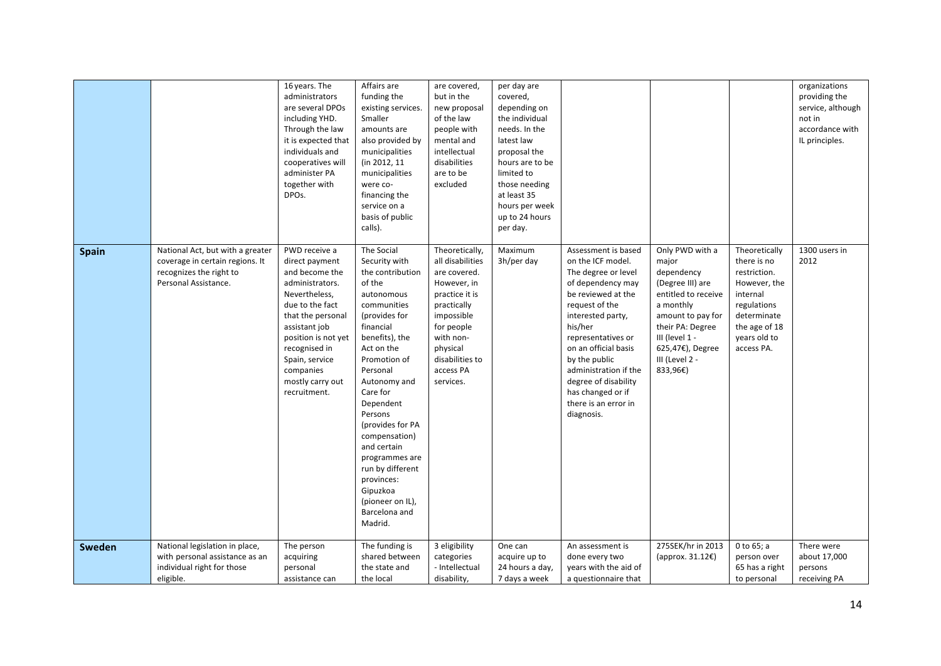|              |                                                                                                                        | 16 years. The<br>administrators<br>are several DPOs<br>including YHD.<br>Through the law<br>it is expected that<br>individuals and<br>cooperatives will<br>administer PA<br>together with<br>DPOs.                                                        | Affairs are<br>funding the<br>existing services.<br>Smaller<br>amounts are<br>also provided by<br>municipalities<br>(in 2012, 11<br>municipalities<br>were co-<br>financing the<br>service on a<br>basis of public<br>calls).                                                                                                                                                                            | are covered,<br>but in the<br>new proposal<br>of the law<br>people with<br>mental and<br>intellectual<br>disabilities<br>are to be<br>excluded                                                       | per day are<br>covered,<br>depending on<br>the individual<br>needs. In the<br>latest law<br>proposal the<br>hours are to be<br>limited to<br>those needing<br>at least 35<br>hours per week<br>up to 24 hours<br>per day. |                                                                                                                                                                                                                                                                                                                                         |                                                                                                                                                                                                             |                                                                                                                                                       | organizations<br>providing the<br>service, although<br>not in<br>accordance with<br>IL principles. |
|--------------|------------------------------------------------------------------------------------------------------------------------|-----------------------------------------------------------------------------------------------------------------------------------------------------------------------------------------------------------------------------------------------------------|----------------------------------------------------------------------------------------------------------------------------------------------------------------------------------------------------------------------------------------------------------------------------------------------------------------------------------------------------------------------------------------------------------|------------------------------------------------------------------------------------------------------------------------------------------------------------------------------------------------------|---------------------------------------------------------------------------------------------------------------------------------------------------------------------------------------------------------------------------|-----------------------------------------------------------------------------------------------------------------------------------------------------------------------------------------------------------------------------------------------------------------------------------------------------------------------------------------|-------------------------------------------------------------------------------------------------------------------------------------------------------------------------------------------------------------|-------------------------------------------------------------------------------------------------------------------------------------------------------|----------------------------------------------------------------------------------------------------|
| <b>Spain</b> | National Act, but with a greater<br>coverage in certain regions. It<br>recognizes the right to<br>Personal Assistance. | PWD receive a<br>direct payment<br>and become the<br>administrators.<br>Nevertheless,<br>due to the fact<br>that the personal<br>assistant job<br>position is not yet<br>recognised in<br>Spain, service<br>companies<br>mostly carry out<br>recruitment. | The Social<br>Security with<br>the contribution<br>of the<br>autonomous<br>communities<br>(provides for<br>financial<br>benefits), the<br>Act on the<br>Promotion of<br>Personal<br>Autonomy and<br>Care for<br>Dependent<br>Persons<br>(provides for PA<br>compensation)<br>and certain<br>programmes are<br>run by different<br>provinces:<br>Gipuzkoa<br>(pioneer on IL),<br>Barcelona and<br>Madrid. | Theoretically,<br>all disabilities<br>are covered.<br>However, in<br>practice it is<br>practically<br>impossible<br>for people<br>with non-<br>physical<br>disabilities to<br>access PA<br>services. | Maximum<br>3h/per day                                                                                                                                                                                                     | Assessment is based<br>on the ICF model.<br>The degree or level<br>of dependency may<br>be reviewed at the<br>request of the<br>interested party,<br>his/her<br>representatives or<br>on an official basis<br>by the public<br>administration if the<br>degree of disability<br>has changed or if<br>there is an error in<br>diagnosis. | Only PWD with a<br>major<br>dependency<br>(Degree III) are<br>entitled to receive<br>a monthly<br>amount to pay for<br>their PA: Degree<br>III (level 1 -<br>625,47€), Degree<br>III (Level 2 -<br>833,96€) | Theoretically<br>there is no<br>restriction.<br>However, the<br>internal<br>regulations<br>determinate<br>the age of 18<br>years old to<br>access PA. | 1300 users in<br>2012                                                                              |
| Sweden       | National legislation in place,<br>with personal assistance as an<br>individual right for those                         | The person<br>acquiring<br>personal                                                                                                                                                                                                                       | The funding is<br>shared between<br>the state and                                                                                                                                                                                                                                                                                                                                                        | 3 eligibility<br>categories<br>- Intellectual                                                                                                                                                        | One can<br>acquire up to<br>24 hours a day,                                                                                                                                                                               | An assessment is<br>done every two<br>years with the aid of                                                                                                                                                                                                                                                                             | 275SEK/hr in 2013<br>(approx. 31.12€)                                                                                                                                                                       | 0 to 65; a<br>person over<br>65 has a right                                                                                                           | There were<br>about 17,000<br>persons                                                              |
|              | eligible.                                                                                                              | assistance can                                                                                                                                                                                                                                            | the local                                                                                                                                                                                                                                                                                                                                                                                                | disability,                                                                                                                                                                                          | 7 days a week                                                                                                                                                                                                             | a questionnaire that                                                                                                                                                                                                                                                                                                                    |                                                                                                                                                                                                             | to personal                                                                                                                                           | receiving PA                                                                                       |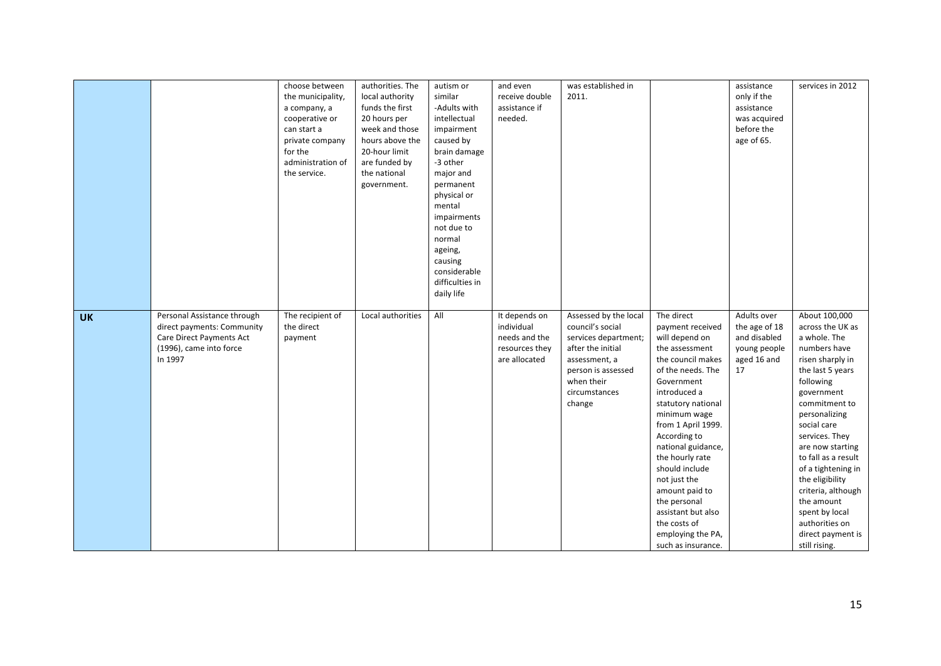|           |                                                                                                                             | choose between<br>the municipality,<br>a company, a<br>cooperative or<br>can start a<br>private company<br>for the<br>administration of<br>the service. | authorities. The<br>local authority<br>funds the first<br>20 hours per<br>week and those<br>hours above the<br>20-hour limit<br>are funded by<br>the national<br>government. | autism or<br>similar<br>-Adults with<br>intellectual<br>impairment<br>caused by<br>brain damage<br>-3 other<br>major and<br>permanent<br>physical or<br>mental<br>impairments<br>not due to<br>normal<br>ageing,<br>causing<br>considerable<br>difficulties in<br>daily life | and even<br>receive double<br>assistance if<br>needed.                          | was established in<br>2011.                                                                                                                                            |                                                                                                                                                                                                                                                                                                                                                                                                                      | assistance<br>only if the<br>assistance<br>was acquired<br>before the<br>age of 65. | services in 2012                                                                                                                                                                                                                                                                                                                                                                                          |
|-----------|-----------------------------------------------------------------------------------------------------------------------------|---------------------------------------------------------------------------------------------------------------------------------------------------------|------------------------------------------------------------------------------------------------------------------------------------------------------------------------------|------------------------------------------------------------------------------------------------------------------------------------------------------------------------------------------------------------------------------------------------------------------------------|---------------------------------------------------------------------------------|------------------------------------------------------------------------------------------------------------------------------------------------------------------------|----------------------------------------------------------------------------------------------------------------------------------------------------------------------------------------------------------------------------------------------------------------------------------------------------------------------------------------------------------------------------------------------------------------------|-------------------------------------------------------------------------------------|-----------------------------------------------------------------------------------------------------------------------------------------------------------------------------------------------------------------------------------------------------------------------------------------------------------------------------------------------------------------------------------------------------------|
| <b>UK</b> | Personal Assistance through<br>direct payments: Community<br>Care Direct Payments Act<br>(1996), came into force<br>In 1997 | The recipient of<br>the direct<br>payment                                                                                                               | Local authorities                                                                                                                                                            | All                                                                                                                                                                                                                                                                          | It depends on<br>individual<br>needs and the<br>resources they<br>are allocated | Assessed by the local<br>council's social<br>services department;<br>after the initial<br>assessment, a<br>person is assessed<br>when their<br>circumstances<br>change | The direct<br>payment received<br>will depend on<br>the assessment<br>the council makes<br>of the needs. The<br>Government<br>introduced a<br>statutory national<br>minimum wage<br>from 1 April 1999.<br>According to<br>national guidance,<br>the hourly rate<br>should include<br>not just the<br>amount paid to<br>the personal<br>assistant but also<br>the costs of<br>employing the PA,<br>such as insurance. | Adults over<br>the age of 18<br>and disabled<br>young people<br>aged 16 and<br>17   | About 100,000<br>across the UK as<br>a whole. The<br>numbers have<br>risen sharply in<br>the last 5 years<br>following<br>government<br>commitment to<br>personalizing<br>social care<br>services. They<br>are now starting<br>to fall as a result<br>of a tightening in<br>the eligibility<br>criteria, although<br>the amount<br>spent by local<br>authorities on<br>direct payment is<br>still rising. |